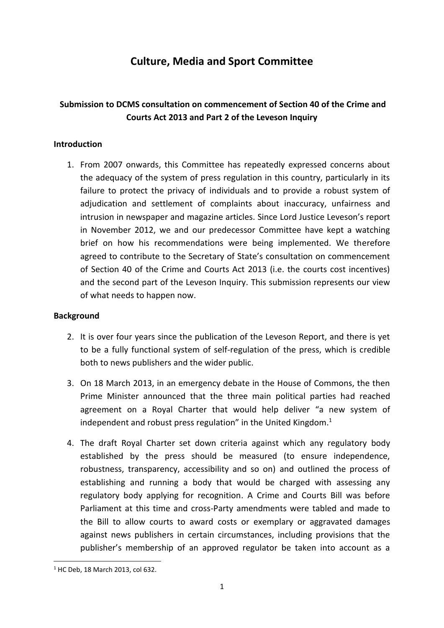# **Culture, Media and Sport Committee**

## **Submission to DCMS consultation on commencement of Section 40 of the Crime and Courts Act 2013 and Part 2 of the Leveson Inquiry**

## **Introduction**

1. From 2007 onwards, this Committee has repeatedly expressed concerns about the adequacy of the system of press regulation in this country, particularly in its failure to protect the privacy of individuals and to provide a robust system of adjudication and settlement of complaints about inaccuracy, unfairness and intrusion in newspaper and magazine articles. Since Lord Justice Leveson's report in November 2012, we and our predecessor Committee have kept a watching brief on how his recommendations were being implemented. We therefore agreed to contribute to the Secretary of State's consultation on commencement of Section 40 of the Crime and Courts Act 2013 (i.e. the courts cost incentives) and the second part of the Leveson Inquiry. This submission represents our view of what needs to happen now.

## **Background**

- 2. It is over four years since the publication of the Leveson Report, and there is yet to be a fully functional system of self-regulation of the press, which is credible both to news publishers and the wider public.
- 3. On 18 March 2013, in an emergency debate in the House of Commons, the then Prime Minister announced that the three main political parties had reached agreement on a Royal Charter that would help deliver "a new system of independent and robust press regulation" in the United Kingdom.<sup>1</sup>
- 4. The draft Royal Charter set down criteria against which any regulatory body established by the press should be measured (to ensure independence, robustness, transparency, accessibility and so on) and outlined the process of establishing and running a body that would be charged with assessing any regulatory body applying for recognition. A Crime and Courts Bill was before Parliament at this time and cross-Party amendments were tabled and made to the Bill to allow courts to award costs or exemplary or aggravated damages against news publishers in certain circumstances, including provisions that the publisher's membership of an approved regulator be taken into account as a

**<sup>.</sup>** <sup>1</sup> HC Deb, 18 March 2013, col 632.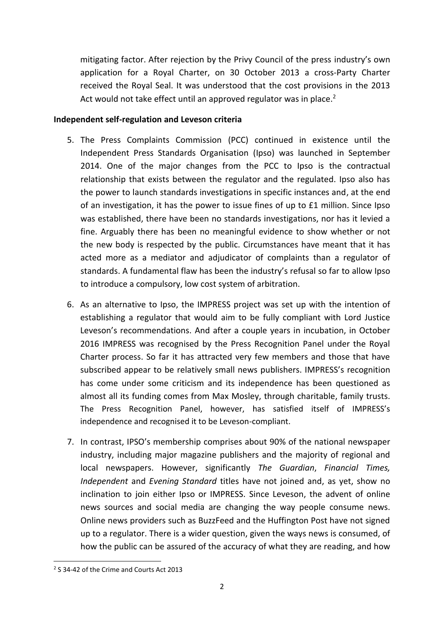mitigating factor. After rejection by the Privy Council of the press industry's own application for a Royal Charter, on 30 October 2013 a cross-Party Charter received the Royal Seal. It was understood that the cost provisions in the 2013 Act would not take effect until an approved regulator was in place.<sup>2</sup>

## **Independent self-regulation and Leveson criteria**

- 5. The Press Complaints Commission (PCC) continued in existence until the Independent Press Standards Organisation (Ipso) was launched in September 2014. One of the major changes from the PCC to Ipso is the contractual relationship that exists between the regulator and the regulated. Ipso also has the power to launch standards investigations in specific instances and, at the end of an investigation, it has the power to issue fines of up to £1 million. Since Ipso was established, there have been no standards investigations, nor has it levied a fine. Arguably there has been no meaningful evidence to show whether or not the new body is respected by the public. Circumstances have meant that it has acted more as a mediator and adjudicator of complaints than a regulator of standards. A fundamental flaw has been the industry's refusal so far to allow Ipso to introduce a compulsory, low cost system of arbitration.
- 6. As an alternative to Ipso, the IMPRESS project was set up with the intention of establishing a regulator that would aim to be fully compliant with Lord Justice Leveson's recommendations. And after a couple years in incubation, in October 2016 IMPRESS was recognised by the Press Recognition Panel under the Royal Charter process. So far it has attracted very few members and those that have subscribed appear to be relatively small news publishers. IMPRESS's recognition has come under some criticism and its independence has been questioned as almost all its funding comes from Max Mosley, through charitable, family trusts. The Press Recognition Panel, however, has satisfied itself of IMPRESS's independence and recognised it to be Leveson-compliant.
- 7. In contrast, IPSO's membership comprises about 90% of the national newspaper industry, including major magazine publishers and the majority of regional and local newspapers. However, significantly *The Guardian*, *Financial Times, Independent* and *Evening Standard* titles have not joined and, as yet, show no inclination to join either Ipso or IMPRESS. Since Leveson, the advent of online news sources and social media are changing the way people consume news. Online news providers such as BuzzFeed and the Huffington Post have not signed up to a regulator. There is a wider question, given the ways news is consumed, of how the public can be assured of the accuracy of what they are reading, and how

**<sup>.</sup>** <sup>2</sup> S 34-42 of the Crime and Courts Act 2013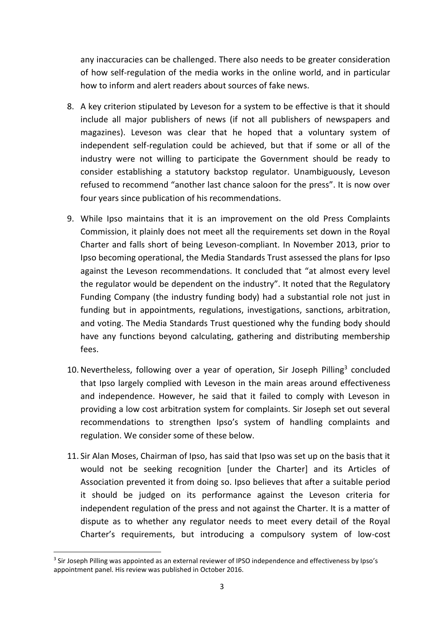any inaccuracies can be challenged. There also needs to be greater consideration of how self-regulation of the media works in the online world, and in particular how to inform and alert readers about sources of fake news.

- 8. A key criterion stipulated by Leveson for a system to be effective is that it should include all major publishers of news (if not all publishers of newspapers and magazines). Leveson was clear that he hoped that a voluntary system of independent self-regulation could be achieved, but that if some or all of the industry were not willing to participate the Government should be ready to consider establishing a statutory backstop regulator. Unambiguously, Leveson refused to recommend "another last chance saloon for the press". It is now over four years since publication of his recommendations.
- 9. While Ipso maintains that it is an improvement on the old Press Complaints Commission, it plainly does not meet all the requirements set down in the Royal Charter and falls short of being Leveson-compliant. In November 2013, prior to Ipso becoming operational, the Media Standards Trust assessed the plans for Ipso against the Leveson recommendations. It concluded that "at almost every level the regulator would be dependent on the industry". It noted that the Regulatory Funding Company (the industry funding body) had a substantial role not just in funding but in appointments, regulations, investigations, sanctions, arbitration, and voting. The Media Standards Trust questioned why the funding body should have any functions beyond calculating, gathering and distributing membership fees.
- 10. Nevertheless, following over a year of operation, Sir Joseph Pilling<sup>3</sup> concluded that Ipso largely complied with Leveson in the main areas around effectiveness and independence. However, he said that it failed to comply with Leveson in providing a low cost arbitration system for complaints. Sir Joseph set out several recommendations to strengthen Ipso's system of handling complaints and regulation. We consider some of these below.
- 11. Sir Alan Moses, Chairman of Ipso, has said that Ipso was set up on the basis that it would not be seeking recognition [under the Charter] and its Articles of Association prevented it from doing so. Ipso believes that after a suitable period it should be judged on its performance against the Leveson criteria for independent regulation of the press and not against the Charter. It is a matter of dispute as to whether any regulator needs to meet every detail of the Royal Charter's requirements, but introducing a compulsory system of low-cost

**<sup>.</sup>** <sup>3</sup> Sir Joseph Pilling was appointed as an external reviewer of IPSO independence and effectiveness by Ipso's appointment panel. His review was published in October 2016.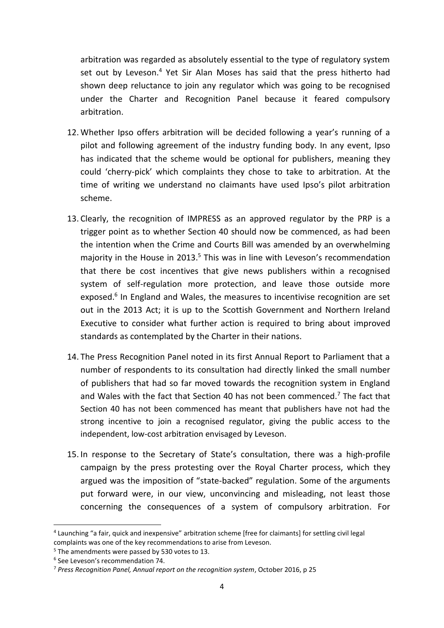arbitration was regarded as absolutely essential to the type of regulatory system set out by Leveson.<sup>4</sup> Yet Sir Alan Moses has said that the press hitherto had shown deep reluctance to join any regulator which was going to be recognised under the Charter and Recognition Panel because it feared compulsory arbitration.

- 12. Whether Ipso offers arbitration will be decided following a year's running of a pilot and following agreement of the industry funding body. In any event, Ipso has indicated that the scheme would be optional for publishers, meaning they could 'cherry-pick' which complaints they chose to take to arbitration. At the time of writing we understand no claimants have used Ipso's pilot arbitration scheme.
- 13. Clearly, the recognition of IMPRESS as an approved regulator by the PRP is a trigger point as to whether Section 40 should now be commenced, as had been the intention when the Crime and Courts Bill was amended by an overwhelming majority in the House in 2013.<sup>5</sup> This was in line with Leveson's recommendation that there be cost incentives that give news publishers within a recognised system of self-regulation more protection, and leave those outside more exposed.<sup>6</sup> In England and Wales, the measures to incentivise recognition are set out in the 2013 Act; it is up to the Scottish Government and Northern Ireland Executive to consider what further action is required to bring about improved standards as contemplated by the Charter in their nations.
- 14. The Press Recognition Panel noted in its first Annual Report to Parliament that a number of respondents to its consultation had directly linked the small number of publishers that had so far moved towards the recognition system in England and Wales with the fact that Section 40 has not been commenced.<sup>7</sup> The fact that Section 40 has not been commenced has meant that publishers have not had the strong incentive to join a recognised regulator, giving the public access to the independent, low-cost arbitration envisaged by Leveson.
- 15. In response to the Secretary of State's consultation, there was a high-profile campaign by the press protesting over the Royal Charter process, which they argued was the imposition of "state-backed" regulation. Some of the arguments put forward were, in our view, unconvincing and misleading, not least those concerning the consequences of a system of compulsory arbitration. For

 $\overline{a}$ 

<sup>&</sup>lt;sup>4</sup> Launching "a fair, quick and inexpensive" arbitration scheme [free for claimants] for settling civil legal complaints was one of the key recommendations to arise from Leveson.

<sup>&</sup>lt;sup>5</sup> The amendments were passed by 530 votes to 13.

<sup>6</sup> See Leveson's recommendation 74.

<sup>7</sup> *Press Recognition Panel, Annual report on the recognition system*, October 2016, p 25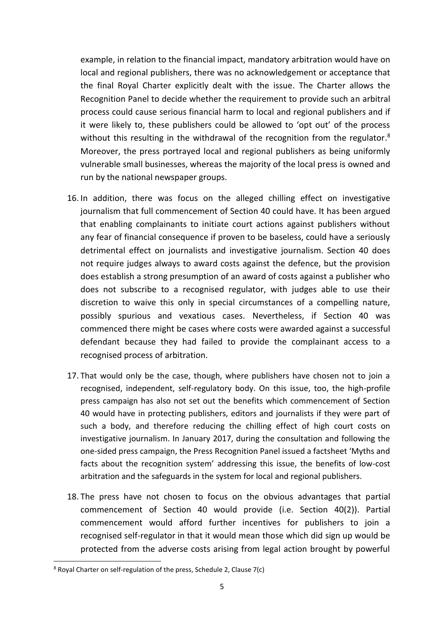example, in relation to the financial impact, mandatory arbitration would have on local and regional publishers, there was no acknowledgement or acceptance that the final Royal Charter explicitly dealt with the issue. The Charter allows the Recognition Panel to decide whether the requirement to provide such an arbitral process could cause serious financial harm to local and regional publishers and if it were likely to, these publishers could be allowed to 'opt out' of the process without this resulting in the withdrawal of the recognition from the regulator. ${}^{8}$ Moreover, the press portrayed local and regional publishers as being uniformly vulnerable small businesses, whereas the majority of the local press is owned and run by the national newspaper groups.

- 16. In addition, there was focus on the alleged chilling effect on investigative journalism that full commencement of Section 40 could have. It has been argued that enabling complainants to initiate court actions against publishers without any fear of financial consequence if proven to be baseless, could have a seriously detrimental effect on journalists and investigative journalism. Section 40 does not require judges always to award costs against the defence, but the provision does establish a strong presumption of an award of costs against a publisher who does not subscribe to a recognised regulator, with judges able to use their discretion to waive this only in special circumstances of a compelling nature, possibly spurious and vexatious cases. Nevertheless, if Section 40 was commenced there might be cases where costs were awarded against a successful defendant because they had failed to provide the complainant access to a recognised process of arbitration.
- 17. That would only be the case, though, where publishers have chosen not to join a recognised, independent, self-regulatory body. On this issue, too, the high-profile press campaign has also not set out the benefits which commencement of Section 40 would have in protecting publishers, editors and journalists if they were part of such a body, and therefore reducing the chilling effect of high court costs on investigative journalism. In January 2017, during the consultation and following the one-sided press campaign, the Press Recognition Panel issued a factsheet 'Myths and facts about the recognition system' addressing this issue, the benefits of low-cost arbitration and the safeguards in the system for local and regional publishers.
- 18. The press have not chosen to focus on the obvious advantages that partial commencement of Section 40 would provide (i.e. Section 40(2)). Partial commencement would afford further incentives for publishers to join a recognised self-regulator in that it would mean those which did sign up would be protected from the adverse costs arising from legal action brought by powerful

**.** 

<sup>8</sup> Royal Charter on self-regulation of the press, Schedule 2, Clause 7(c)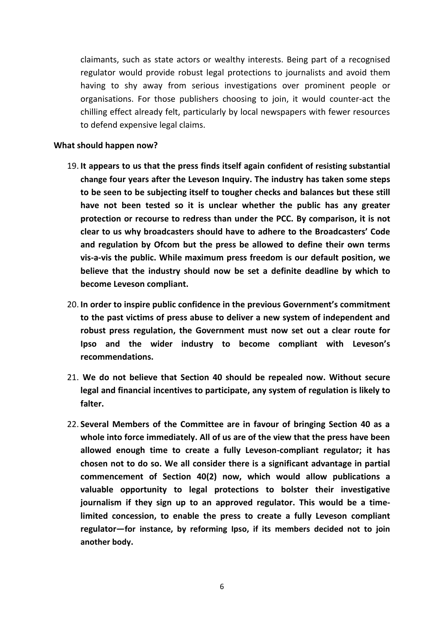claimants, such as state actors or wealthy interests. Being part of a recognised regulator would provide robust legal protections to journalists and avoid them having to shy away from serious investigations over prominent people or organisations. For those publishers choosing to join, it would counter-act the chilling effect already felt, particularly by local newspapers with fewer resources to defend expensive legal claims.

#### **What should happen now?**

- 19. **It appears to us that the press finds itself again confident of resisting substantial change four years after the Leveson Inquiry. The industry has taken some steps to be seen to be subjecting itself to tougher checks and balances but these still have not been tested so it is unclear whether the public has any greater protection or recourse to redress than under the PCC. By comparison, it is not clear to us why broadcasters should have to adhere to the Broadcasters' Code and regulation by Ofcom but the press be allowed to define their own terms vis-a-vis the public. While maximum press freedom is our default position, we believe that the industry should now be set a definite deadline by which to become Leveson compliant.**
- 20. **In order to inspire public confidence in the previous Government's commitment to the past victims of press abuse to deliver a new system of independent and robust press regulation, the Government must now set out a clear route for Ipso and the wider industry to become compliant with Leveson's recommendations.**
- 21. **We do not believe that Section 40 should be repealed now. Without secure legal and financial incentives to participate, any system of regulation is likely to falter.**
- 22. **Several Members of the Committee are in favour of bringing Section 40 as a whole into force immediately. All of us are of the view that the press have been allowed enough time to create a fully Leveson-compliant regulator; it has chosen not to do so. We all consider there is a significant advantage in partial commencement of Section 40(2) now, which would allow publications a valuable opportunity to legal protections to bolster their investigative journalism if they sign up to an approved regulator. This would be a timelimited concession, to enable the press to create a fully Leveson compliant regulator—for instance, by reforming Ipso, if its members decided not to join another body.**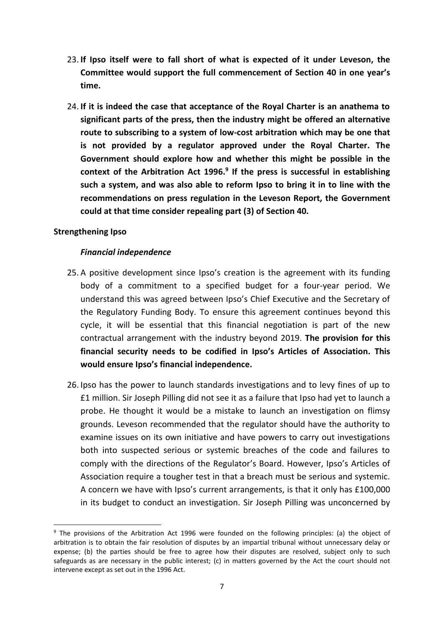- 23. **If Ipso itself were to fall short of what is expected of it under Leveson, the Committee would support the full commencement of Section 40 in one year's time.**
- 24. **If it is indeed the case that acceptance of the Royal Charter is an anathema to significant parts of the press, then the industry might be offered an alternative route to subscribing to a system of low-cost arbitration which may be one that is not provided by a regulator approved under the Royal Charter. The Government should explore how and whether this might be possible in the context of the Arbitration Act 1996.<sup>9</sup> If the press is successful in establishing such a system, and was also able to reform Ipso to bring it in to line with the recommendations on press regulation in the Leveson Report, the Government could at that time consider repealing part (3) of Section 40.**

## **Strengthening Ipso**

 $\overline{a}$ 

#### *Financial independence*

- 25. A positive development since Ipso's creation is the agreement with its funding body of a commitment to a specified budget for a four-year period. We understand this was agreed between Ipso's Chief Executive and the Secretary of the Regulatory Funding Body. To ensure this agreement continues beyond this cycle, it will be essential that this financial negotiation is part of the new contractual arrangement with the industry beyond 2019. **The provision for this financial security needs to be codified in Ipso's Articles of Association. This would ensure Ipso's financial independence.**
- 26. Ipso has the power to launch standards investigations and to levy fines of up to £1 million. Sir Joseph Pilling did not see it as a failure that Ipso had yet to launch a probe. He thought it would be a mistake to launch an investigation on flimsy grounds. Leveson recommended that the regulator should have the authority to examine issues on its own initiative and have powers to carry out investigations both into suspected serious or systemic breaches of the code and failures to comply with the directions of the Regulator's Board. However, Ipso's Articles of Association require a tougher test in that a breach must be serious and systemic. A concern we have with Ipso's current arrangements, is that it only has £100,000 in its budget to conduct an investigation. Sir Joseph Pilling was unconcerned by

<sup>&</sup>lt;sup>9</sup> The provisions of the Arbitration Act 1996 were founded on the following principles: (a) the object of arbitration is to obtain the fair resolution of disputes by an impartial tribunal without unnecessary delay or expense; (b) the parties should be free to agree how their disputes are resolved, subject only to such safeguards as are necessary in the public interest; (c) in matters governed by the Act the court should not intervene except as set out in the 1996 Act.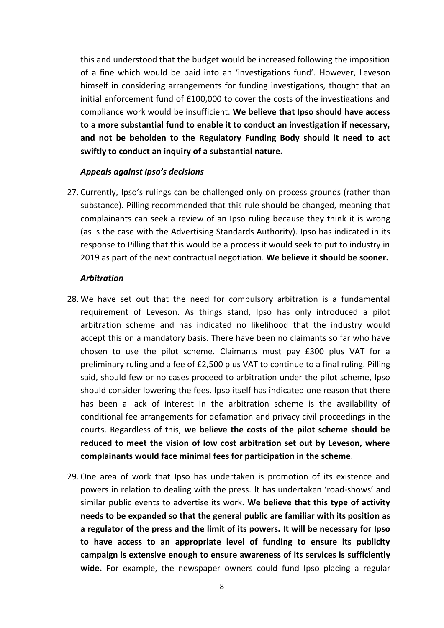this and understood that the budget would be increased following the imposition of a fine which would be paid into an 'investigations fund'. However, Leveson himself in considering arrangements for funding investigations, thought that an initial enforcement fund of £100,000 to cover the costs of the investigations and compliance work would be insufficient. **We believe that Ipso should have access to a more substantial fund to enable it to conduct an investigation if necessary, and not be beholden to the Regulatory Funding Body should it need to act swiftly to conduct an inquiry of a substantial nature.** 

#### *Appeals against Ipso's decisions*

27. Currently, Ipso's rulings can be challenged only on process grounds (rather than substance). Pilling recommended that this rule should be changed, meaning that complainants can seek a review of an Ipso ruling because they think it is wrong (as is the case with the Advertising Standards Authority). Ipso has indicated in its response to Pilling that this would be a process it would seek to put to industry in 2019 as part of the next contractual negotiation. **We believe it should be sooner.**

#### *Arbitration*

- 28. We have set out that the need for compulsory arbitration is a fundamental requirement of Leveson. As things stand, Ipso has only introduced a pilot arbitration scheme and has indicated no likelihood that the industry would accept this on a mandatory basis. There have been no claimants so far who have chosen to use the pilot scheme. Claimants must pay £300 plus VAT for a preliminary ruling and a fee of £2,500 plus VAT to continue to a final ruling. Pilling said, should few or no cases proceed to arbitration under the pilot scheme, Ipso should consider lowering the fees. Ipso itself has indicated one reason that there has been a lack of interest in the arbitration scheme is the availability of conditional fee arrangements for defamation and privacy civil proceedings in the courts. Regardless of this, **we believe the costs of the pilot scheme should be reduced to meet the vision of low cost arbitration set out by Leveson, where complainants would face minimal fees for participation in the scheme**.
- 29. One area of work that Ipso has undertaken is promotion of its existence and powers in relation to dealing with the press. It has undertaken 'road-shows' and similar public events to advertise its work. **We believe that this type of activity needs to be expanded so that the general public are familiar with its position as a regulator of the press and the limit of its powers. It will be necessary for Ipso to have access to an appropriate level of funding to ensure its publicity campaign is extensive enough to ensure awareness of its services is sufficiently wide.** For example, the newspaper owners could fund Ipso placing a regular